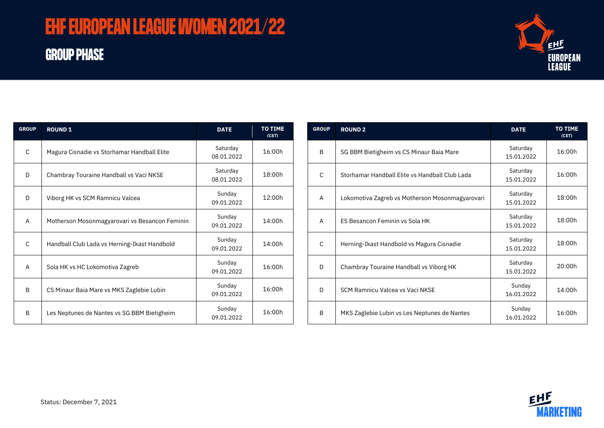# **EHF EUROPEAN LEAGUE WOMEN 2021/22**

## **GROUP PHASE**



| <b>GROUP</b> | <b>ROUND 1</b>                                 | <b>DATE</b>            | <b>TO TIME</b><br>(CET) |
|--------------|------------------------------------------------|------------------------|-------------------------|
| C            | Magura Cisnadie vs Storhamar Handball Elite    | Saturday<br>08.01.2022 | 16:00h                  |
| D            | Chambray Touraine Handball vs Vaci NKSE        | Saturday<br>08.01.2022 | 18:00h                  |
| D            | Viborg HK vs SCM Ramnicu Valcea                | Sunday<br>09.01.2022   | 12:00h                  |
| A            | Motherson Mosonmagyarovari vs Besancon Feminin | Sunday<br>09.01.2022   | 14:00h                  |
| C            | Handball Club Lada vs Herning-Ikast Handbold   | Sunday<br>09.01.2022   | 14:00h                  |
| A            | Sola HK vs HC Lokomotiva Zagreb                | Sunday<br>09.01.2022   | 16:00h                  |
| B            | CS Minaur Baia Mare vs MKS Zaglebie Lubin      | Sunday<br>09.01.2022   | 16:00h                  |
| B            | Les Neptunes de Nantes vs SG BBM Bietigheim    | Sunday<br>09.01.2022   | 16:00h                  |

| <b>GROUP</b> | <b>ROUND 2</b>                                  | <b>DATE</b>            | <b>TO TIME</b><br>(CET) |
|--------------|-------------------------------------------------|------------------------|-------------------------|
| <sub>R</sub> | SG BBM Bietigheim vs CS Minaur Baia Mare        | Saturday<br>15.01.2022 | 16:00h                  |
| C            | Storhamar Handball Elite vs Handball Club Lada  | Saturday<br>15.01.2022 | 16:00h                  |
| A            | Lokomotiva Zagreb vs Motherson Mosonmagyarovari | Saturday<br>15.01.2022 | 18:00h                  |
| A            | ES Besancon Feminin vs Sola HK                  | Saturday<br>15.01.2022 | 18:00h                  |
| C            | Herning-Ikast Handbold vs Magura Cisnadie       | Saturday<br>15.01.2022 | 18:00h                  |
| D            | Chambray Touraine Handball vs Viborg HK         | Saturday<br>15.01.2022 | 20:00h                  |
| D            | SCM Ramnicu Valcea vs Vaci NKSE                 | Sunday<br>16.01.2022   | 14:00h                  |
| B            | MKS Zaglebie Lubin vs Les Neptunes de Nantes    | Sunday<br>16.01.2022   | 16:00h                  |

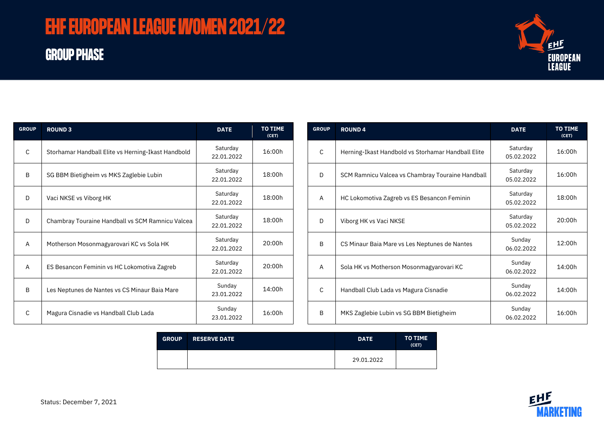# **EHF EUROPEAN LEAGUE WOMEN 2021/22**

## **GROUP PHASE**



| <b>GROUP</b> | <b>ROUND 3</b>                                     | <b>DATE</b>            | <b>TO TIME</b><br>(CET) |
|--------------|----------------------------------------------------|------------------------|-------------------------|
| C            | Storhamar Handball Elite vs Herning-Ikast Handbold | Saturday<br>22.01.2022 | 16:00h                  |
| B            | SG BBM Bietigheim vs MKS Zaglebie Lubin            | Saturday<br>22.01.2022 | 18:00h                  |
| D            | Vaci NKSE vs Viborg HK                             | Saturday<br>22.01.2022 | 18:00h                  |
| D            | Chambray Touraine Handball vs SCM Ramnicu Valcea   | Saturday<br>22.01.2022 | 18:00h                  |
| A            | Motherson Mosonmagyarovari KC vs Sola HK           | Saturday<br>22.01.2022 | 20:00h                  |
| A            | ES Besancon Feminin vs HC Lokomotiva Zagreb        | Saturday<br>22.01.2022 | 20:00h                  |
| B            | Les Neptunes de Nantes vs CS Minaur Baia Mare      | Sunday<br>23.01.2022   | 14:00h                  |
| C            | Magura Cisnadie vs Handball Club Lada              | Sunday<br>23.01.2022   | 16:00h                  |

| <b>GROUP</b> | <b>ROUND4</b>                                      | <b>DATE</b>            | <b>TO TIME</b><br>(CET) |
|--------------|----------------------------------------------------|------------------------|-------------------------|
| $\mathsf{C}$ | Herning-Ikast Handbold vs Storhamar Handball Elite | Saturday<br>05.02.2022 | 16:00h                  |
| D            | SCM Ramnicu Valcea vs Chambray Touraine Handball   | Saturday<br>05.02.2022 | 16:00h                  |
| A            | HC Lokomotiva Zagreb vs ES Besancon Feminin        | Saturday<br>05.02.2022 | 18:00h                  |
| D            | Viborg HK vs Vaci NKSE                             | Saturday<br>05.02.2022 | 20:00h                  |
| B            | CS Minaur Baia Mare vs Les Neptunes de Nantes      | Sunday<br>06.02.2022   | 12:00h                  |
| A            | Sola HK vs Motherson Mosonmagyarovari KC           | Sunday<br>06.02.2022   | 14:00h                  |
| C            | Handball Club Lada vs Magura Cisnadie              | Sunday<br>06.02.2022   | 14:00h                  |
| B            | MKS Zaglebie Lubin vs SG BBM Bietigheim            | Sunday<br>06.02.2022   | 16:00h                  |

| <b>GROUP</b> | <b>RESERVE DATE</b> | <b>DATE</b> | <b>TO TIME</b><br>(CET) |
|--------------|---------------------|-------------|-------------------------|
|              |                     | 29.01.2022  |                         |